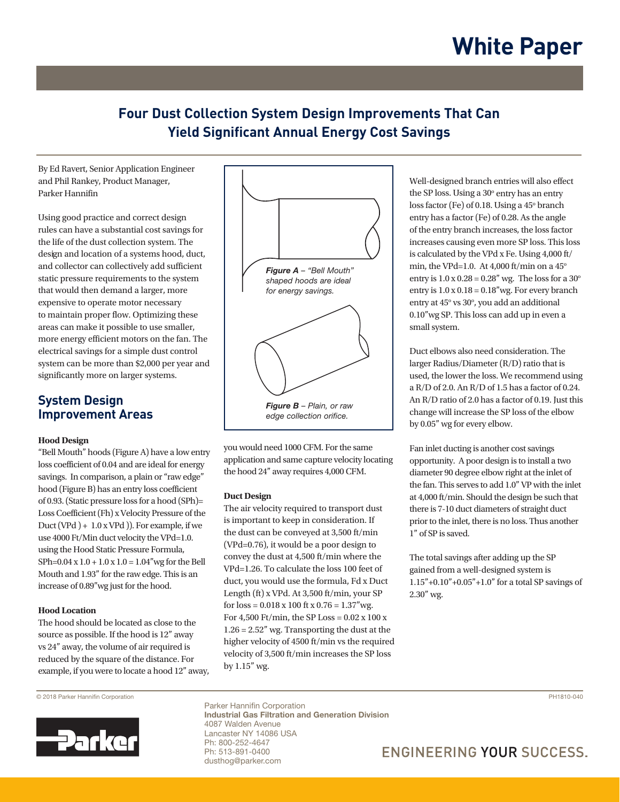### **Four Dust Collection System Design Improvements That Can Yield Significant Annual Energy Cost Savings** *By Ed Ravert, Senior Application Engineer*  **Provide Air Specialists, Inc.**

By Ed Ravert, Senior Application Engineer and Phil Rankey, Product Manager, Parker Hannifin

**Annual Energy Cost Savings**

Using good practice and correct design rules can have a substantial cost savings for rates can have a sassannar cost savings for the life of the dust collection system. The design and location of a systems hood, duct, and collector can collectively add sufficient static pressure requirements to the system that would then demand a larger, more expensive to operate motor necessary to maintain proper flow. Optimizing these areas can make it possible to use smaller, more energy efficient motors on the fan. The electrical savings for a simple dust control system can be more than \$2,000 per year and significantly more on larger systems. requirement of the point where  $\frac{1}{2}$ 

## **System Design SYSTEM DESIGN Improvement Areas**

### **Hood Design**

nood Besign<br>"Bell Mouth" hoods (Figure A) have a low entry  $\frac{1}{\sqrt{2}}$  loss coefficient of 0.04 and are ideal for energy savings. In comparison, a plain or "raw edge"<br>hood (Figure B) has an entry loss coefficient hood (Figure B) has an entry loss coefficient of 0.93. (Static pressure loss for a hood (SPh)= Loss Coefficient (Fh) x Velocity Pressure of the  $P_{\text{max}}(m)$ Duct (VPd  $) + 1.0$  x VPd  $)$ ). For example, if we  $\frac{1}{2}$  and  $\frac{1}{2}$  from the  $\frac{1}{2}$ , the frame of  $\frac{1}{2}$  from the VPd=1.0. using the Hood Static Pressure Formula,  $SPh=0.04 \times 1.0 + 1.0 \times 1.0 = 1.04$ " wg for the Bell Mouth and 1.93" for the raw edge. This is an increase of 0.89"wg just for the hood.

### **Hood Location**  $1.00$  + 0.04  $\mu$  1.0. The planet opening opening opening opening opening opening opening opening opening opening opening opening opening opening opening opening opening opening opening opening opening opening opening op

The hood should be located as close to the source as possible. If the hood is 12" away vs 24" away, the volume of air required is reduced by the square of the distance. For example, if you were to locate a hood 12" away,



you would need 1000 CFM. For the same application and same capture velocity locating the hood  $24"$  away requires  $4,000$  CFM.

## **Possign**

The air velocity required to transport dust is important to keep in consideration. If the dust can be conveyed at 3,500 ft/min (VPd=0.76), it would be a poor design to convey the dust at  $4,500$  ft/min where the  $\sim$ VPd=1.26. To calculate the loss 100 feet of  $V_1$  a  $-1.26$ . To calculate the formula,  $Fd$  x Duct duct, you would use the formula,  $Fd$  x Duct Length (ft) x VPd. At 3,500 ft/min, your SP for  $loss = 0.018 \times 100$  ft  $x \times 0.76 = 1.37$ "wg. For  $4,500$  Ft/min, the SP Loss =  $0.02 \times 100 \times$  $1.26 = 2.52$ " wg. Transporting the dust at the higher velocity of 4500 ft/min vs the required velocity of 3,500 ft/min increases the SP loss by 1.15" wg.

Well-designed branch entries will also effect the SP loss. Using a  $30^{\circ}$  entry has an entry loss factor (Fe) of 0.18. Using a 45° branch  $\frac{1}{2}$  entry has a factor (Fe) of 0.28. As the angle of the entry branch increases, the loss factor increases causing even more SP loss. This loss is calculated by the VPd x Fe. Using 4,000 ft/ min, the VPd=1.0. At 4,000 ft/min on a  $45^{\circ}$ entry is  $1.0 \times 0.28 = 0.28$ " wg. The loss for a 30° entry is  $1.0 \times 0.18 = 0.18$ "wg. For every branch entry is  $1.0 \times 0.10 = 0.10$  wg. For every pro-<br>entry at  $45^\circ$  vs  $30^\circ$ , you add an additional  $0.10''$  wg SP. This loss can add up in even a small system.

Duct elbows also need consideration. The larger Radius/Diameter (R/D) ratio that is used, the lower the loss. We recommend using a R/D of 2.0. An R/D of 1.5 has a factor of 0.24. An R/D ratio of 2.0 has a factor of 0.19. Just this change will increase the SP loss of the elbow by 0.05" wg for every elbow.

Fan inlet ducting is another cost savings opportunity. A poor design is to install a two diameter 90 degree elbow right at the inlet of the fan. This serves to add  $1.0$ " VP with the inlet at 4,000 ft/min. Should the design be such that there is 7-10 duct diameters of straight duct prior to the inlet, there is no loss. Thus another 1" of SP is saved.  $\frac{1}{2}$  Of SP is saved.

The total savings after adding up the SP gained from a well-designed system is  $1.15" + 0.10" + 0.05" + 1.0"$  for a total SP savings of  $2.30''$  wg.

© 2018 Parker Hannifin Corporation PH1810-040



1 Industrial Gas Filtration and Generation Division Parker Hannifin Corporation 4087 Walden Avenue Lancaster NY 14086 USA Ph: 800-252-4647 Ph: 513-891-0400 dusthog@parker.com

## **ENGINEERING YOUR SUCCESS.**